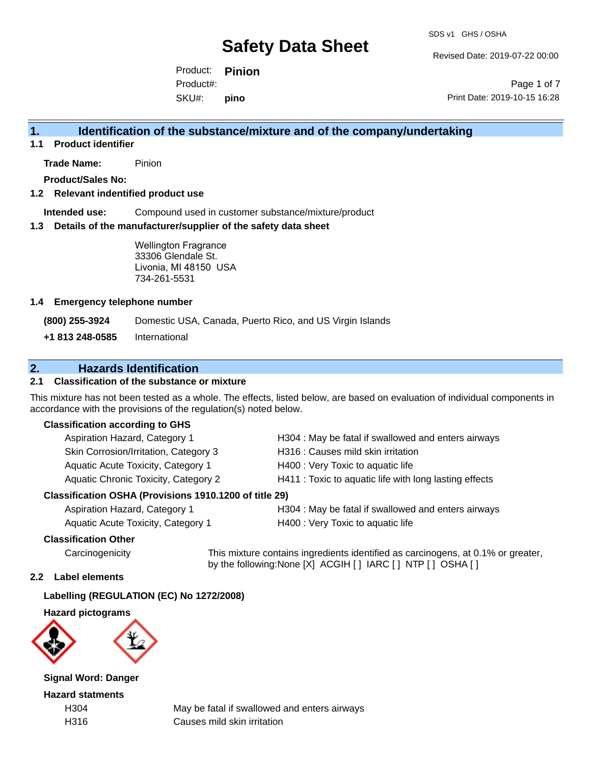Revised Date: 2019-07-22 00:00

Product: **Pinion** SKU#: Product#: **pino**

Page 1 of 7 Print Date: 2019-10-15 16:28

## **1. Identification of the substance/mixture and of the company/undertaking**

**1.1 Product identifier**

**Trade Name:** Pinion

**Product/Sales No:**

### **1.2 Relevant indentified product use**

**Intended use:** Compound used in customer substance/mixture/product

#### **1.3 Details of the manufacturer/supplier of the safety data sheet**

Wellington Fragrance 33306 Glendale St. Livonia, MI 48150 USA 734-261-5531

### **1.4 Emergency telephone number**

**(800) 255-3924** Domestic USA, Canada, Puerto Rico, and US Virgin Islands

**+1 813 248-0585** International

## **2. Hazards Identification**

## **2.1 Classification of the substance or mixture**

This mixture has not been tested as a whole. The effects, listed below, are based on evaluation of individual components in accordance with the provisions of the regulation(s) noted below.

#### **Classification according to GHS**

| Aspiration Hazard, Category 1         | H304 : May be fatal if swallowed and enters airways    |
|---------------------------------------|--------------------------------------------------------|
| Skin Corrosion/Irritation, Category 3 | H316 : Causes mild skin irritation                     |
| Aquatic Acute Toxicity, Category 1    | H400 : Very Toxic to aquatic life                      |
| Aquatic Chronic Toxicity, Category 2  | H411 : Toxic to aquatic life with long lasting effects |
|                                       |                                                        |

#### **Classification OSHA (Provisions 1910.1200 of title 29)**

Aquatic Acute Toxicity, Category 1 H400 : Very Toxic to aquatic life

Aspiration Hazard, Category 1 **H304** : May be fatal if swallowed and enters airways

## **Classification Other**

Carcinogenicity This mixture contains ingredients identified as carcinogens, at 0.1% or greater, by the following:None [X] ACGIH [ ] IARC [ ] NTP [ ] OSHA [ ]

### **2.2 Label elements**

## **Labelling (REGULATION (EC) No 1272/2008)**

### **Hazard pictograms**



**Signal Word: Danger**

**Hazard statments**

H304 May be fatal if swallowed and enters airways H316 Causes mild skin irritation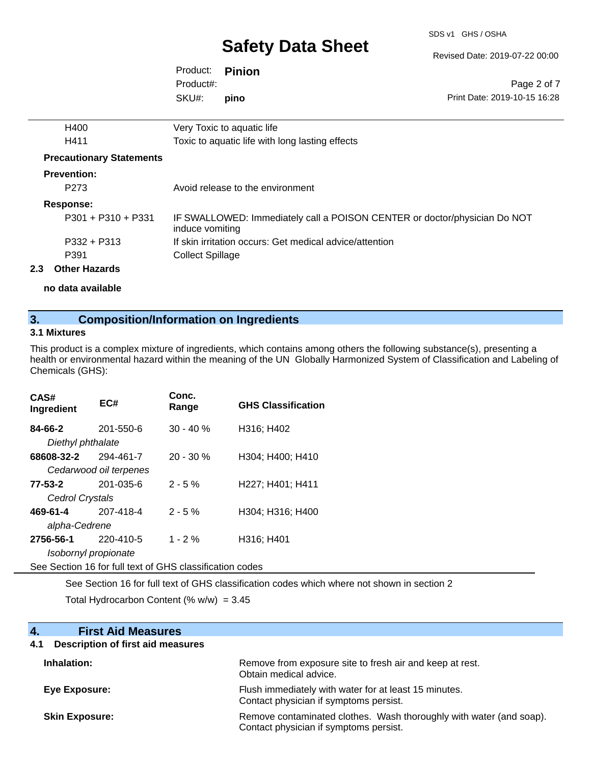SDS v1 GHS / OSHA

Revised Date: 2019-07-22 00:00

| Product: <b>Pinion</b> |      |                              |
|------------------------|------|------------------------------|
| Product#:              |      | Page 2 of 7                  |
| SKU#:                  | pino | Print Date: 2019-10-15 16:28 |
|                        |      |                              |

| 2.3 | <b>Other Hazards</b>            |                                                                                              |
|-----|---------------------------------|----------------------------------------------------------------------------------------------|
|     | P391                            | <b>Collect Spillage</b>                                                                      |
|     | $P332 + P313$                   | If skin irritation occurs: Get medical advice/attention                                      |
|     | $P301 + P310 + P331$            | IF SWALLOWED: Immediately call a POISON CENTER or doctor/physician Do NOT<br>induce vomiting |
|     | <b>Response:</b>                |                                                                                              |
|     | P <sub>273</sub>                | Avoid release to the environment                                                             |
|     | <b>Prevention:</b>              |                                                                                              |
|     | <b>Precautionary Statements</b> |                                                                                              |
|     | H411                            | Toxic to aquatic life with long lasting effects                                              |
|     | H400                            | Very Toxic to aquatic life                                                                   |

**no data available**

## **3. Composition/Information on Ingredients**

## **3.1 Mixtures**

This product is a complex mixture of ingredients, which contains among others the following substance(s), presenting a health or environmental hazard within the meaning of the UN Globally Harmonized System of Classification and Labeling of Chemicals (GHS):

| CAS#<br>Ingredient           | EC#                    | Conc.<br>Range | <b>GHS Classification</b> |
|------------------------------|------------------------|----------------|---------------------------|
| 84-66-2<br>Diethyl phthalate | 201-550-6              | $30 - 40%$     | H316; H402                |
| 68608-32-2                   | 294-461-7              | $20 - 30 %$    | H304; H400; H410          |
|                              | Cedarwood oil terpenes |                |                           |
| 77-53-2                      | $201 - 035 - 6$        | $2 - 5%$       | H227; H401; H411          |
| Cedrol Crystals              |                        |                |                           |
| 469-61-4                     | 207-418-4              | $2 - 5%$       | H304; H316; H400          |
| alpha-Cedrene                |                        |                |                           |
| 2756-56-1                    | 220-410-5              | $1 - 2%$       | H316; H401                |
|                              | Isobornyl propionate   |                |                           |
|                              |                        |                |                           |

See Section 16 for full text of GHS classification codes

See Section 16 for full text of GHS classification codes which where not shown in section 2

Total Hydrocarbon Content (%  $w/w$ ) = 3.45

| <b>First Aid Measures</b><br>4.                 |                                                                                                               |
|-------------------------------------------------|---------------------------------------------------------------------------------------------------------------|
| <b>Description of first aid measures</b><br>4.1 |                                                                                                               |
| Inhalation:                                     | Remove from exposure site to fresh air and keep at rest.<br>Obtain medical advice.                            |
| Eye Exposure:                                   | Flush immediately with water for at least 15 minutes.<br>Contact physician if symptoms persist.               |
| <b>Skin Exposure:</b>                           | Remove contaminated clothes. Wash thoroughly with water (and soap).<br>Contact physician if symptoms persist. |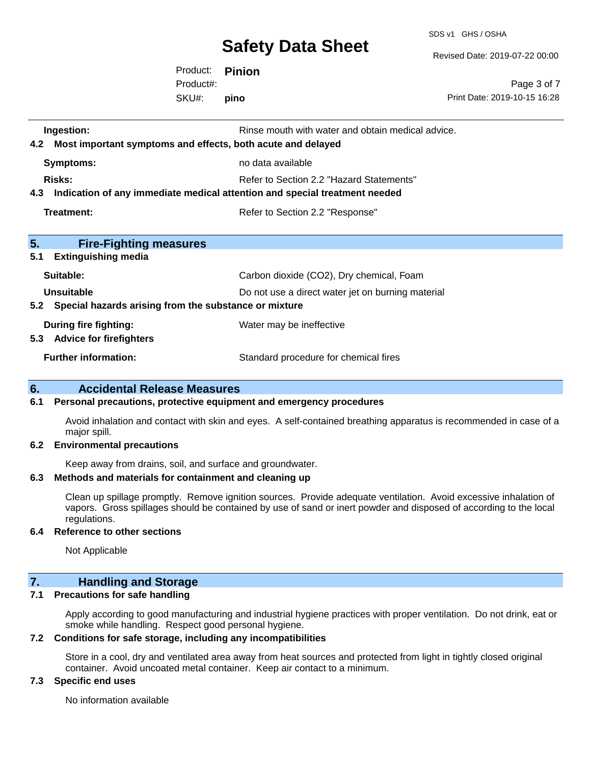SDS v1 GHS / OSHA

Revised Date: 2019-07-22 00:00

Product: **Pinion** SKU#: Product#: **pino**

Page 3 of 7 Print Date: 2019-10-15 16:28

| Ingestion:<br>4.2 Most important symptoms and effects, both acute and delayed  | Rinse mouth with water and obtain medical advice. |
|--------------------------------------------------------------------------------|---------------------------------------------------|
| Symptoms:                                                                      | no data available                                 |
| Risks:                                                                         | Refer to Section 2.2 "Hazard Statements"          |
| 4.3 Indication of any immediate medical attention and special treatment needed |                                                   |
| Treatment:                                                                     | Refer to Section 2.2 "Response"                   |
|                                                                                |                                                   |
| 5.<br><b>Fire-Fighting measures</b><br>5.1<br><b>Extinguishing media</b>       |                                                   |
| Suitable:                                                                      | Carbon dioxide (CO2), Dry chemical, Foam          |
| Unsuitable                                                                     | Do not use a direct water jet on burning material |
| 5.2 Special hazards arising from the substance or mixture                      |                                                   |
| During fire fighting:                                                          | Water may be ineffective                          |
| 5.3 Advice for firefighters                                                    |                                                   |
| <b>Further information:</b>                                                    | Standard procedure for chemical fires             |

## **6. Accidental Release Measures**

#### **6.1 Personal precautions, protective equipment and emergency procedures**

Avoid inhalation and contact with skin and eyes. A self-contained breathing apparatus is recommended in case of a major spill.

#### **6.2 Environmental precautions**

Keep away from drains, soil, and surface and groundwater.

## **6.3 Methods and materials for containment and cleaning up**

Clean up spillage promptly. Remove ignition sources. Provide adequate ventilation. Avoid excessive inhalation of vapors. Gross spillages should be contained by use of sand or inert powder and disposed of according to the local regulations.

#### **6.4 Reference to other sections**

Not Applicable

## **7. Handling and Storage**

## **7.1 Precautions for safe handling**

Apply according to good manufacturing and industrial hygiene practices with proper ventilation. Do not drink, eat or smoke while handling. Respect good personal hygiene.

## **7.2 Conditions for safe storage, including any incompatibilities**

Store in a cool, dry and ventilated area away from heat sources and protected from light in tightly closed original container. Avoid uncoated metal container. Keep air contact to a minimum.

## **7.3 Specific end uses**

No information available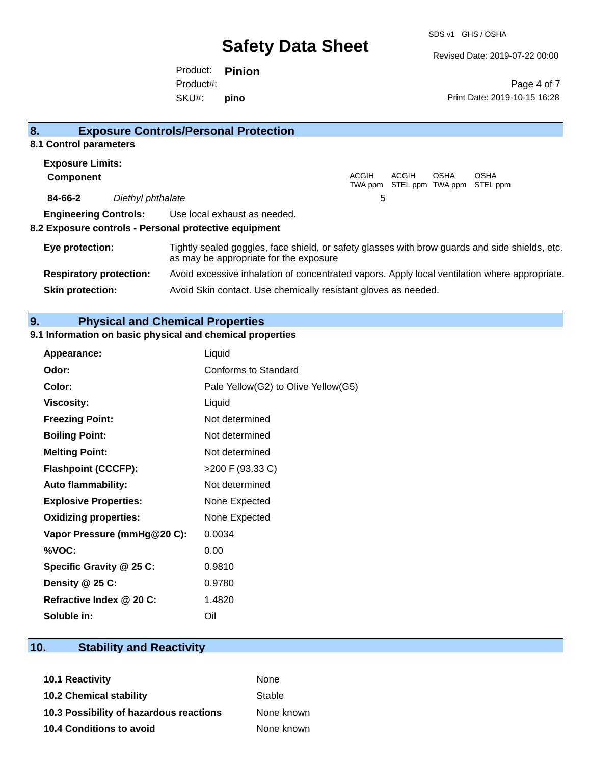Revised Date: 2019-07-22 00:00

Product: **Pinion** SKU#: Product#: **pino**

Page 4 of 7 Print Date: 2019-10-15 16:28

| 8 <sub>1</sub>                 |                   | <b>Exposure Controls/Personal Protection</b>                                                                                             |                  |       |             |                                          |
|--------------------------------|-------------------|------------------------------------------------------------------------------------------------------------------------------------------|------------------|-------|-------------|------------------------------------------|
| 8.1 Control parameters         |                   |                                                                                                                                          |                  |       |             |                                          |
| <b>Exposure Limits:</b>        |                   |                                                                                                                                          |                  |       |             |                                          |
| <b>Component</b>               |                   |                                                                                                                                          | ACGIH<br>TWA ppm | ACGIH | <b>OSHA</b> | <b>OSHA</b><br>STEL ppm TWA ppm STEL ppm |
| 84-66-2                        | Diethyl phthalate |                                                                                                                                          | 5                |       |             |                                          |
| <b>Engineering Controls:</b>   |                   | Use local exhaust as needed.                                                                                                             |                  |       |             |                                          |
|                                |                   | 8.2 Exposure controls - Personal protective equipment                                                                                    |                  |       |             |                                          |
| Eye protection:                |                   | Tightly sealed goggles, face shield, or safety glasses with brow guards and side shields, etc.<br>as may be appropriate for the exposure |                  |       |             |                                          |
| <b>Respiratory protection:</b> |                   | Avoid excessive inhalation of concentrated vapors. Apply local ventilation where appropriate.                                            |                  |       |             |                                          |
| <b>Skin protection:</b>        |                   | Avoid Skin contact. Use chemically resistant gloves as needed.                                                                           |                  |       |             |                                          |

## **9. Physical and Chemical Properties**

## **9.1 Information on basic physical and chemical properties**

| Appearance:                  | Liquid                              |
|------------------------------|-------------------------------------|
| Odor:                        | Conforms to Standard                |
| Color:                       | Pale Yellow(G2) to Olive Yellow(G5) |
| <b>Viscosity:</b>            | Liquid                              |
| <b>Freezing Point:</b>       | Not determined                      |
| <b>Boiling Point:</b>        | Not determined                      |
| <b>Melting Point:</b>        | Not determined                      |
| <b>Flashpoint (CCCFP):</b>   | >200 F (93.33 C)                    |
| <b>Auto flammability:</b>    | Not determined                      |
| <b>Explosive Properties:</b> | None Expected                       |
| <b>Oxidizing properties:</b> | None Expected                       |
| Vapor Pressure (mmHg@20 C):  | 0.0034                              |
| %VOC:                        | 0.00                                |
| Specific Gravity @ 25 C:     | 0.9810                              |
| Density @ 25 C:              | 0.9780                              |
| Refractive Index @ 20 C:     | 1.4820                              |
| Soluble in:                  | Oil                                 |

## **10. Stability and Reactivity**

| None       |
|------------|
| Stable     |
| None known |
| None known |
|            |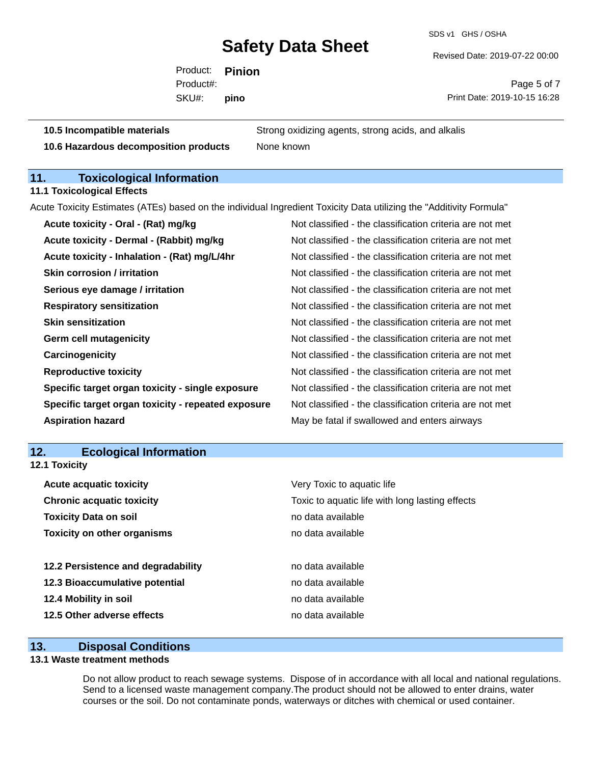SDS v1 GHS / OSHA

Revised Date: 2019-07-22 00:00

Product: **Pinion** SKU#: Product#: **pino**

Page 5 of 7 Print Date: 2019-10-15 16:28

**10.5 Incompatible materials** Strong oxidizing agents, strong acids, and alkalis **10.6 Hazardous decomposition products** None known

## **11. Toxicological Information**

**11.1 Toxicological Effects**

Acute Toxicity Estimates (ATEs) based on the individual Ingredient Toxicity Data utilizing the "Additivity Formula"

| Acute toxicity - Oral - (Rat) mg/kg                | Not classified - the classification criteria are not met |
|----------------------------------------------------|----------------------------------------------------------|
| Acute toxicity - Dermal - (Rabbit) mg/kg           | Not classified - the classification criteria are not met |
| Acute toxicity - Inhalation - (Rat) mg/L/4hr       | Not classified - the classification criteria are not met |
| <b>Skin corrosion / irritation</b>                 | Not classified - the classification criteria are not met |
| Serious eye damage / irritation                    | Not classified - the classification criteria are not met |
| <b>Respiratory sensitization</b>                   | Not classified - the classification criteria are not met |
| <b>Skin sensitization</b>                          | Not classified - the classification criteria are not met |
| <b>Germ cell mutagenicity</b>                      | Not classified - the classification criteria are not met |
| Carcinogenicity                                    | Not classified - the classification criteria are not met |
| <b>Reproductive toxicity</b>                       | Not classified - the classification criteria are not met |
| Specific target organ toxicity - single exposure   | Not classified - the classification criteria are not met |
| Specific target organ toxicity - repeated exposure | Not classified - the classification criteria are not met |
| <b>Aspiration hazard</b>                           | May be fatal if swallowed and enters airways             |

## **12. Ecological Information**

**12.1 Toxicity**

| Very Toxic to aquatic life                      |
|-------------------------------------------------|
| Toxic to aquatic life with long lasting effects |
| no data available                               |
| no data available                               |
|                                                 |
| no data available                               |
| no data available                               |
| no data available                               |
| no data available                               |
|                                                 |

## **13. Disposal Conditions**

## **13.1 Waste treatment methods**

Do not allow product to reach sewage systems. Dispose of in accordance with all local and national regulations. Send to a licensed waste management company.The product should not be allowed to enter drains, water courses or the soil. Do not contaminate ponds, waterways or ditches with chemical or used container.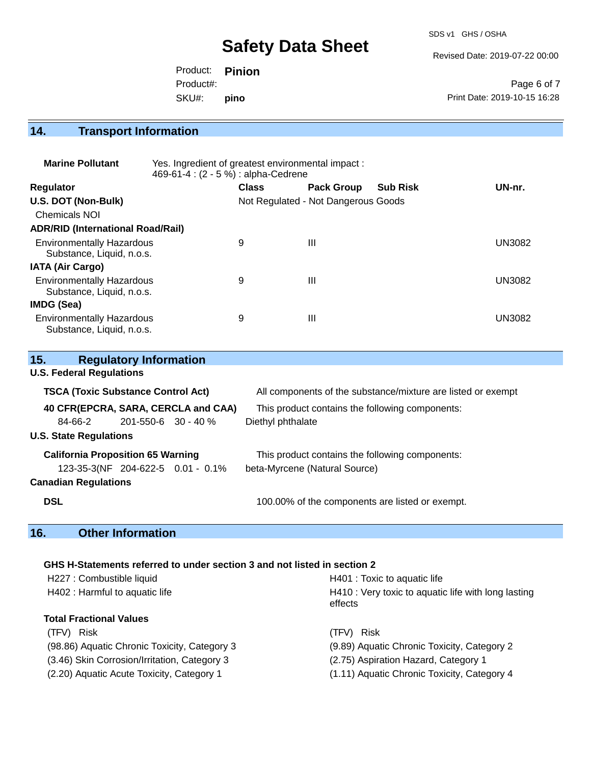SDS v1 GHS / OSHA

Revised Date: 2019-07-22 00:00

|           | Product: <b>Pinion</b> |                              |
|-----------|------------------------|------------------------------|
| Product#: |                        | Page 6 of 7                  |
| SKU#:     | pino                   | Print Date: 2019-10-15 16:28 |

## **14. Transport Information**

| <b>Marine Pollutant</b>                                       | Yes. Ingredient of greatest environmental impact:<br>469-61-4 : (2 - 5 %) : alpha-Cedrene |              |                                     |                 |        |  |
|---------------------------------------------------------------|-------------------------------------------------------------------------------------------|--------------|-------------------------------------|-----------------|--------|--|
| <b>Regulator</b>                                              |                                                                                           | <b>Class</b> | <b>Pack Group</b>                   | <b>Sub Risk</b> | UN-nr. |  |
| U.S. DOT (Non-Bulk)                                           |                                                                                           |              | Not Regulated - Not Dangerous Goods |                 |        |  |
| <b>Chemicals NOI</b>                                          |                                                                                           |              |                                     |                 |        |  |
| <b>ADR/RID (International Road/Rail)</b>                      |                                                                                           |              |                                     |                 |        |  |
| <b>Environmentally Hazardous</b><br>Substance, Liquid, n.o.s. |                                                                                           | 9            | $\mathbf{III}$                      |                 | UN3082 |  |
| <b>IATA (Air Cargo)</b>                                       |                                                                                           |              |                                     |                 |        |  |
| <b>Environmentally Hazardous</b><br>Substance, Liquid, n.o.s. |                                                                                           | 9            | $\mathbf{III}$                      |                 | UN3082 |  |
| <b>IMDG (Sea)</b>                                             |                                                                                           |              |                                     |                 |        |  |
| <b>Environmentally Hazardous</b><br>Substance, Liquid, n.o.s. |                                                                                           | 9            | Ш                                   |                 | UN3082 |  |

| 15.                                       | <b>Regulatory Information</b> |                                                              |
|-------------------------------------------|-------------------------------|--------------------------------------------------------------|
| <b>U.S. Federal Regulations</b>           |                               |                                                              |
| <b>TSCA (Toxic Substance Control Act)</b> |                               | All components of the substance/mixture are listed or exempt |
| 40 CFR(EPCRA, SARA, CERCLA and CAA)       |                               | This product contains the following components:              |
| $84-66-2$ 201-550-6 30 - 40 %             |                               | Diethyl phthalate                                            |
| <b>U.S. State Regulations</b>             |                               |                                                              |
| <b>California Proposition 65 Warning</b>  |                               | This product contains the following components:              |
| 123-35-3(NF 204-622-5 0.01 - 0.1%         |                               | beta-Myrcene (Natural Source)                                |
| <b>Canadian Regulations</b>               |                               |                                                              |
| <b>DSL</b>                                |                               | 100.00% of the components are listed or exempt.              |

## **16. Other Information**

## **GHS H-Statements referred to under section 3 and not listed in section 2**

| H227 : Combustible liquid<br>H402 : Harmful to aquatic life | H401 : Toxic to aquatic life<br>H410 : Very toxic to aquatic life with long lasting<br>effects |  |  |
|-------------------------------------------------------------|------------------------------------------------------------------------------------------------|--|--|
| <b>Total Fractional Values</b>                              |                                                                                                |  |  |
| (TFV) Risk                                                  | <b>Risk</b><br>(TFV).                                                                          |  |  |
| (98.86) Aquatic Chronic Toxicity, Category 3                | (9.89) Aquatic Chronic Toxicity, Category 2                                                    |  |  |
| (3.46) Skin Corrosion/Irritation, Category 3                | (2.75) Aspiration Hazard, Category 1                                                           |  |  |
| (2.20) Aquatic Acute Toxicity, Category 1                   | (1.11) Aquatic Chronic Toxicity, Category 4                                                    |  |  |